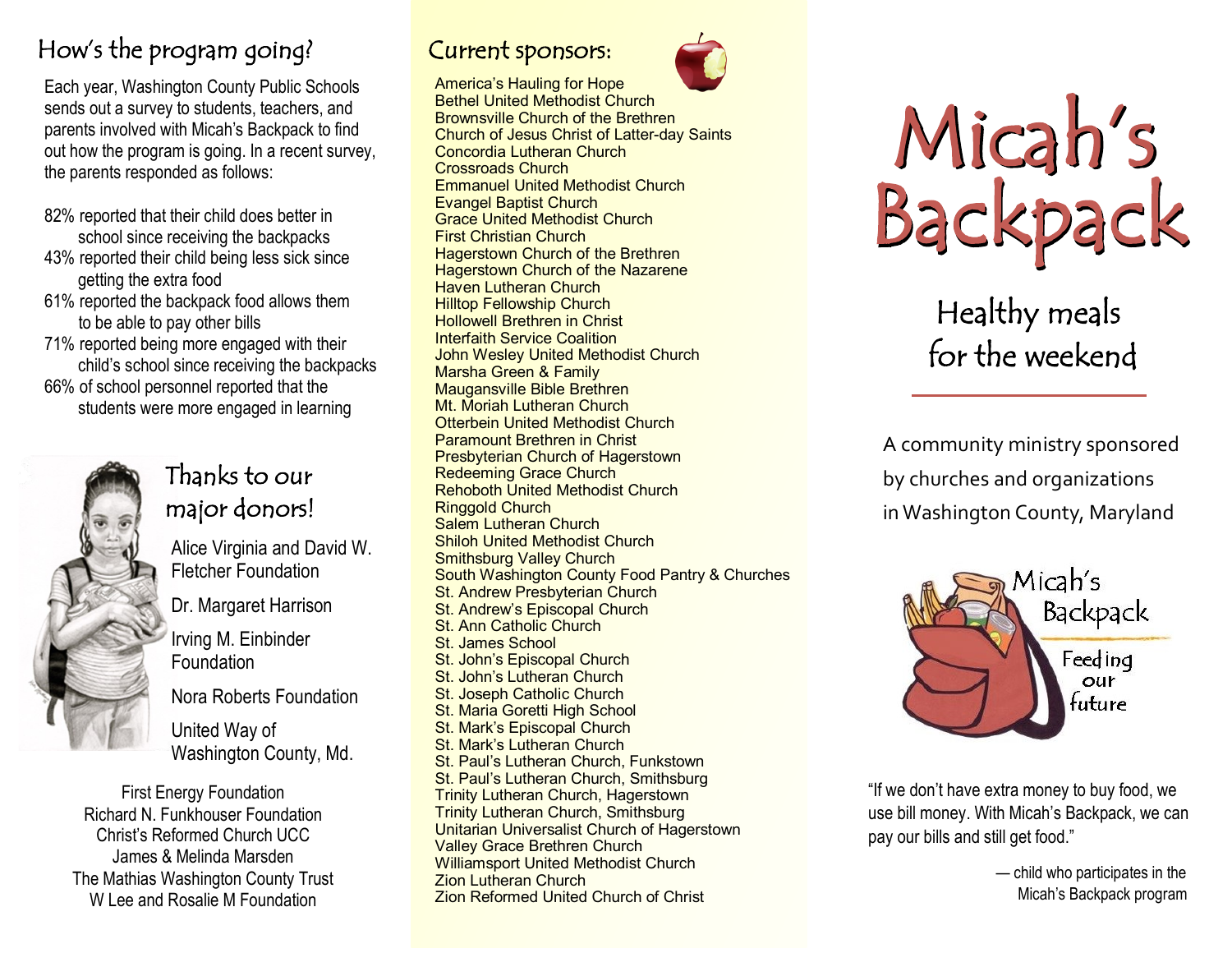### How's the program going?

Each year, Washington County Public Schools sends out a survey to students, teachers, and parents involved with Micah's Backpack to find out how the program is going. In a recent survey, the parents responded as follows:

- 82% reported that their child does better in school since receiving the backpacks
- 43% reported their child being less sick since getting the extra food
- 61% reported the backpack food allows them to be able to pay other bills
- 71% reported being more engaged with their child's school since receiving the backpacks 66% of school personnel reported that the students were more engaged in learning



#### Thanks to our major donors!

Alice Virginia and David W. Fletcher Foundation Dr. Margaret Harrison Irving M. Einbinder Foundation Nora Roberts Foundation United Way of Washington County, Md. First Energy Foundation

Richard N. Funkhouser Foundation Christ's Reformed Church UCC James & Melinda Marsden The Mathias Washington County Trust W Lee and Rosalie M Foundation

#### Current sponsors:



America's Hauling for Hope Bethel United Methodist Church Brownsville Church of the Brethren Church of Jesus Christ of Latter-day Saints Concordia Lutheran Church Crossroads Church Emmanuel United Methodist Church Evangel Baptist Church Grace United Methodist Church First Christian Church Hagerstown Church of the Brethren Hagerstown Church of the Nazarene Haven Lutheran Church Hilltop Fellowship Church Hollowell Brethren in Christ Interfaith Service Coalition John Wesley United Methodist Church Marsha Green & Family Maugansville Bible Brethren Mt. Moriah Lutheran Church Otterbein United Methodist Church Paramount Brethren in Christ Presbyterian Church of Hagerstown Redeeming Grace Church Rehoboth United Methodist Church Ringgold Church Salem Lutheran Church Shiloh United Methodist Church Smithsburg Valley Church South Washington County Food Pantry & Churches St. Andrew Presbyterian Church St. Andrew's Episcopal Church St. Ann Catholic Church St. James School St. John's Episcopal Church St. John's Lutheran Church St. Joseph Catholic Church St. Maria Goretti High School St. Mark's Episcopal Church St. Mark's Lutheran Church St. Paul's Lutheran Church, Funkstown St. Paul's Lutheran Church, Smithsburg Trinity Lutheran Church, Hagerstown Trinity Lutheran Church, Smithsburg Unitarian Universalist Church of Hagerstown Valley Grace Brethren Church Williamsport United Methodist Church Zion Lutheran Church Zion Reformed United Church of Christ



Healthy meals for the weekend

A community ministry sponsored by churches and organizations in Washington County, Maryland



"If we don't have extra money to buy food, we use bill money. With Micah's Backpack, we can pay our bills and still get food."

> — child who participates in the Micah's Backpack program